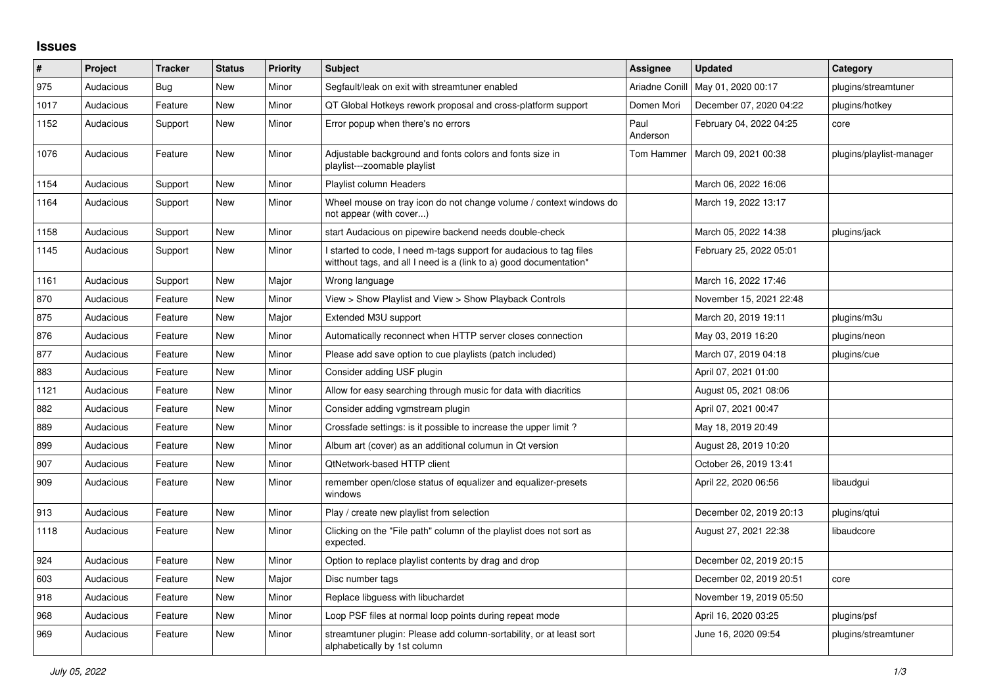## **Issues**

| #    | Project   | <b>Tracker</b> | <b>Status</b> | <b>Priority</b> | <b>Subject</b>                                                                                                                            | <b>Assignee</b>  | <b>Updated</b>          | Category                 |
|------|-----------|----------------|---------------|-----------------|-------------------------------------------------------------------------------------------------------------------------------------------|------------------|-------------------------|--------------------------|
| 975  | Audacious | Bug            | New           | Minor           | Segfault/leak on exit with streamtuner enabled                                                                                            | Ariadne Conill   | May 01, 2020 00:17      | plugins/streamtuner      |
| 1017 | Audacious | Feature        | New           | Minor           | QT Global Hotkeys rework proposal and cross-platform support                                                                              | Domen Mori       | December 07, 2020 04:22 | plugins/hotkey           |
| 1152 | Audacious | Support        | <b>New</b>    | Minor           | Error popup when there's no errors                                                                                                        | Paul<br>Anderson | February 04, 2022 04:25 | core                     |
| 1076 | Audacious | Feature        | <b>New</b>    | Minor           | Adjustable background and fonts colors and fonts size in<br>playlist---zoomable playlist                                                  | Tom Hammer       | March 09, 2021 00:38    | plugins/playlist-manager |
| 1154 | Audacious | Support        | New           | Minor           | Playlist column Headers                                                                                                                   |                  | March 06, 2022 16:06    |                          |
| 1164 | Audacious | Support        | New           | Minor           | Wheel mouse on tray icon do not change volume / context windows do<br>not appear (with cover)                                             |                  | March 19, 2022 13:17    |                          |
| 1158 | Audacious | Support        | New           | Minor           | start Audacious on pipewire backend needs double-check                                                                                    |                  | March 05, 2022 14:38    | plugins/jack             |
| 1145 | Audacious | Support        | <b>New</b>    | Minor           | I started to code, I need m-tags support for audacious to tag files<br>witthout tags, and all I need is a (link to a) good documentation* |                  | February 25, 2022 05:01 |                          |
| 1161 | Audacious | Support        | <b>New</b>    | Major           | Wrong language                                                                                                                            |                  | March 16, 2022 17:46    |                          |
| 870  | Audacious | Feature        | New           | Minor           | View > Show Playlist and View > Show Playback Controls                                                                                    |                  | November 15, 2021 22:48 |                          |
| 875  | Audacious | Feature        | New           | Major           | Extended M3U support                                                                                                                      |                  | March 20, 2019 19:11    | plugins/m3u              |
| 876  | Audacious | Feature        | <b>New</b>    | Minor           | Automatically reconnect when HTTP server closes connection                                                                                |                  | May 03, 2019 16:20      | plugins/neon             |
| 877  | Audacious | Feature        | New           | Minor           | Please add save option to cue playlists (patch included)                                                                                  |                  | March 07, 2019 04:18    | plugins/cue              |
| 883  | Audacious | Feature        | New           | Minor           | Consider adding USF plugin                                                                                                                |                  | April 07, 2021 01:00    |                          |
| 1121 | Audacious | Feature        | <b>New</b>    | Minor           | Allow for easy searching through music for data with diacritics                                                                           |                  | August 05, 2021 08:06   |                          |
| 882  | Audacious | Feature        | <b>New</b>    | Minor           | Consider adding vgmstream plugin                                                                                                          |                  | April 07, 2021 00:47    |                          |
| 889  | Audacious | Feature        | New           | Minor           | Crossfade settings: is it possible to increase the upper limit?                                                                           |                  | May 18, 2019 20:49      |                          |
| 899  | Audacious | Feature        | New           | Minor           | Album art (cover) as an additional columun in Qt version                                                                                  |                  | August 28, 2019 10:20   |                          |
| 907  | Audacious | Feature        | <b>New</b>    | Minor           | QtNetwork-based HTTP client                                                                                                               |                  | October 26, 2019 13:41  |                          |
| 909  | Audacious | Feature        | <b>New</b>    | Minor           | remember open/close status of equalizer and equalizer-presets<br>windows                                                                  |                  | April 22, 2020 06:56    | libaudgui                |
| 913  | Audacious | Feature        | New           | Minor           | Play / create new playlist from selection                                                                                                 |                  | December 02, 2019 20:13 | plugins/qtui             |
| 1118 | Audacious | Feature        | New           | Minor           | Clicking on the "File path" column of the playlist does not sort as<br>expected.                                                          |                  | August 27, 2021 22:38   | libaudcore               |
| 924  | Audacious | Feature        | New           | Minor           | Option to replace playlist contents by drag and drop                                                                                      |                  | December 02, 2019 20:15 |                          |
| 603  | Audacious | Feature        | <b>New</b>    | Major           | Disc number tags                                                                                                                          |                  | December 02, 2019 20:51 | core                     |
| 918  | Audacious | Feature        | <b>New</b>    | Minor           | Replace libguess with libuchardet                                                                                                         |                  | November 19, 2019 05:50 |                          |
| 968  | Audacious | Feature        | New           | Minor           | Loop PSF files at normal loop points during repeat mode                                                                                   |                  | April 16, 2020 03:25    | plugins/psf              |
| 969  | Audacious | Feature        | New           | Minor           | streamtuner plugin: Please add column-sortability, or at least sort<br>alphabetically by 1st column                                       |                  | June 16, 2020 09:54     | plugins/streamtuner      |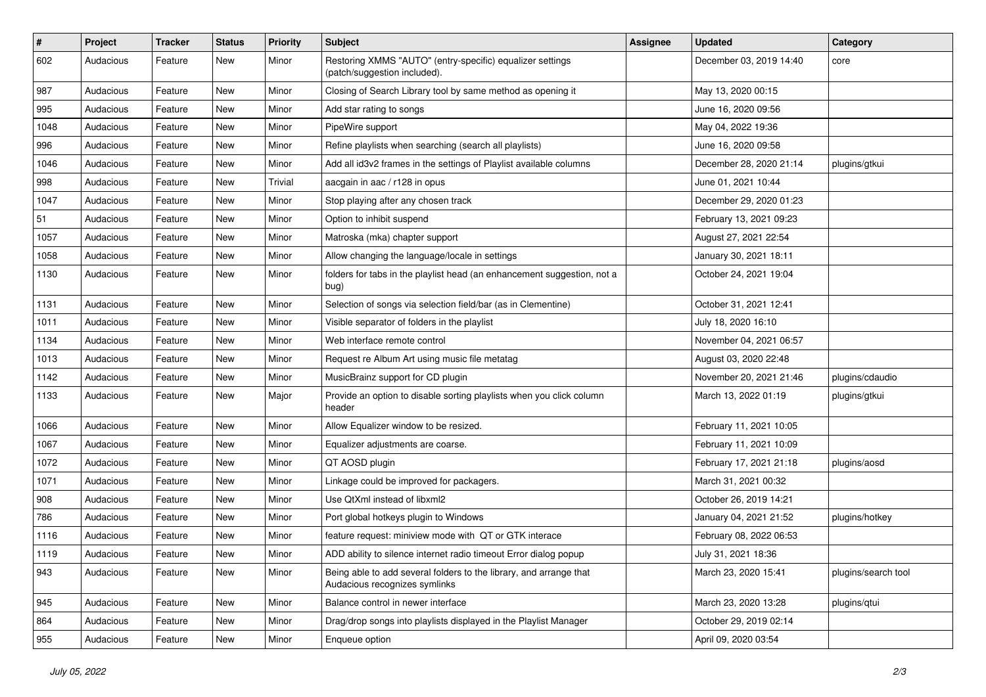| $\#$ | Project   | <b>Tracker</b> | <b>Status</b> | <b>Priority</b> | <b>Subject</b>                                                                                      | <b>Assignee</b> | <b>Updated</b>          | Category            |
|------|-----------|----------------|---------------|-----------------|-----------------------------------------------------------------------------------------------------|-----------------|-------------------------|---------------------|
| 602  | Audacious | Feature        | New           | Minor           | Restoring XMMS "AUTO" (entry-specific) equalizer settings<br>(patch/suggestion included).           |                 | December 03, 2019 14:40 | core                |
| 987  | Audacious | Feature        | New           | Minor           | Closing of Search Library tool by same method as opening it                                         |                 | May 13, 2020 00:15      |                     |
| 995  | Audacious | Feature        | New           | Minor           | Add star rating to songs                                                                            |                 | June 16, 2020 09:56     |                     |
| 1048 | Audacious | Feature        | New           | Minor           | PipeWire support                                                                                    |                 | May 04, 2022 19:36      |                     |
| 996  | Audacious | Feature        | New           | Minor           | Refine playlists when searching (search all playlists)                                              |                 | June 16, 2020 09:58     |                     |
| 1046 | Audacious | Feature        | <b>New</b>    | Minor           | Add all id3v2 frames in the settings of Playlist available columns                                  |                 | December 28, 2020 21:14 | plugins/gtkui       |
| 998  | Audacious | Feature        | New           | Trivial         | aacgain in aac / r128 in opus                                                                       |                 | June 01, 2021 10:44     |                     |
| 1047 | Audacious | Feature        | New           | Minor           | Stop playing after any chosen track                                                                 |                 | December 29, 2020 01:23 |                     |
| 51   | Audacious | Feature        | <b>New</b>    | Minor           | Option to inhibit suspend                                                                           |                 | February 13, 2021 09:23 |                     |
| 1057 | Audacious | Feature        | New           | Minor           | Matroska (mka) chapter support                                                                      |                 | August 27, 2021 22:54   |                     |
| 1058 | Audacious | Feature        | New           | Minor           | Allow changing the language/locale in settings                                                      |                 | January 30, 2021 18:11  |                     |
| 1130 | Audacious | Feature        | New           | Minor           | folders for tabs in the playlist head (an enhancement suggestion, not a<br>bug)                     |                 | October 24, 2021 19:04  |                     |
| 1131 | Audacious | Feature        | <b>New</b>    | Minor           | Selection of songs via selection field/bar (as in Clementine)                                       |                 | October 31, 2021 12:41  |                     |
| 1011 | Audacious | Feature        | New           | Minor           | Visible separator of folders in the playlist                                                        |                 | July 18, 2020 16:10     |                     |
| 1134 | Audacious | Feature        | New           | Minor           | Web interface remote control                                                                        |                 | November 04, 2021 06:57 |                     |
| 1013 | Audacious | Feature        | New           | Minor           | Request re Album Art using music file metatag                                                       |                 | August 03, 2020 22:48   |                     |
| 1142 | Audacious | Feature        | New           | Minor           | MusicBrainz support for CD plugin                                                                   |                 | November 20, 2021 21:46 | plugins/cdaudio     |
| 1133 | Audacious | Feature        | New           | Major           | Provide an option to disable sorting playlists when you click column<br>header                      |                 | March 13, 2022 01:19    | plugins/gtkui       |
| 1066 | Audacious | Feature        | New           | Minor           | Allow Equalizer window to be resized.                                                               |                 | February 11, 2021 10:05 |                     |
| 1067 | Audacious | Feature        | New           | Minor           | Equalizer adjustments are coarse.                                                                   |                 | February 11, 2021 10:09 |                     |
| 1072 | Audacious | Feature        | New           | Minor           | QT AOSD plugin                                                                                      |                 | February 17, 2021 21:18 | plugins/aosd        |
| 1071 | Audacious | Feature        | New           | Minor           | Linkage could be improved for packagers.                                                            |                 | March 31, 2021 00:32    |                     |
| 908  | Audacious | Feature        | New           | Minor           | Use QtXml instead of libxml2                                                                        |                 | October 26, 2019 14:21  |                     |
| 786  | Audacious | Feature        | New           | Minor           | Port global hotkeys plugin to Windows                                                               |                 | January 04, 2021 21:52  | plugins/hotkey      |
| 1116 | Audacious | Feature        | New           | Minor           | feature request: miniview mode with QT or GTK interace                                              |                 | February 08, 2022 06:53 |                     |
| 1119 | Audacious | Feature        | New           | Minor           | ADD ability to silence internet radio timeout Error dialog popup                                    |                 | July 31, 2021 18:36     |                     |
| 943  | Audacious | Feature        | New           | Minor           | Being able to add several folders to the library, and arrange that<br>Audacious recognizes symlinks |                 | March 23, 2020 15:41    | plugins/search tool |
| 945  | Audacious | Feature        | New           | Minor           | Balance control in newer interface                                                                  |                 | March 23, 2020 13:28    | plugins/qtui        |
| 864  | Audacious | Feature        | New           | Minor           | Drag/drop songs into playlists displayed in the Playlist Manager                                    |                 | October 29, 2019 02:14  |                     |
| 955  | Audacious | Feature        | New           | Minor           | Enqueue option                                                                                      |                 | April 09, 2020 03:54    |                     |